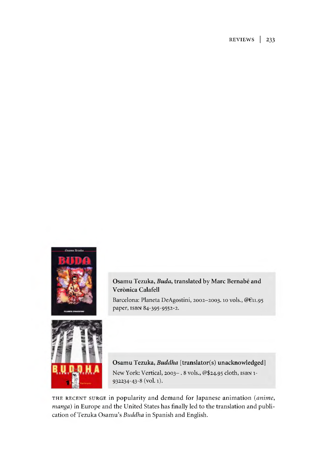REVIEWS  $\begin{array}{|c|c|c|} \hline 233 \\ \hline \end{array}$ 



## Osamu Tezuka, *Buda,* translated by Marc Bernabe and Veronica Calafell

Barcelona: Planeta DeAgostini, 2002-2003.10 vols. @€11.95 paper, **ISBN** 84-395-9552-2.



Osamu Tezuka, *Buddha* [translator(s) unacknowledged] New York: Vertical, 2003-. 8 vols., @\$24.95 cloth, *ISBN* 1-932234-43-8 (vol.1).

THE RECENT SURGE in popularity and demand for Japanese animation (anime, *manga)* in Europe and the United States has finally led to the translation and publication of Tezuka Osamu's *Buddha* in Spanish and English.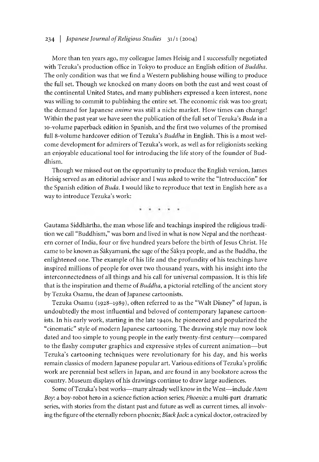## 234 | *Japanese Journal of Religious Studies* 31/1 (2004)

More than ten years ago, my colleague James Heisig and I successfully negotiated with Tezuka's production office in Tokyo to produce an English edition of *Buddha*. The only condition was that we find a Western publishing house willing to produce the full set. Though we knocked on many doors on both the east and west coast of the continental United States, and many publishers expressed a keen interest, none was willing to commit to publishing the entire set. The economic risk was too great; the demand for Japanese *anime* was still a niche market. How times can change! Within the past year we have seen the publication of the full set of Tezuka's *Buda* in a 10-volume paperback edition in Spanish, and the first two volumes of the promised full 8-volume hardcover edition of Tezuka's *Buddha* in English. This is a most welcome development for admirers of Tezuka's work, as well as for religionists seeking an enjoyable educational tool for introducing the life story of the founder of Buddhism.

Though we missed out on the opportunity to produce the English version, James Heisig served as an editorial advisor and I was asked to write the "Introducci6n" for the Spanish edition of *Buda.* I would like to reproduce that text in English here as a way to introduce Tezuka's work:

\* \* \* \*

Gautama Siddhartha, the man whose life and teachings inspired the religious tradition we call "Buddhism," was born and lived in what is now Nepal and the northeastern corner of India, four or five hundred years before the birth of Jesus Christ. He came to be known as Sakyamuni, the sage of the Sakya people, and as the Buddha, the enlightened one. The example of his life and the profundity of his teachings have inspired millions of people for over two thousand years, with his insight into the interconnectedness of all things and his call for universal compassion. It is this life that is the inspiration and theme of *Buddha,* a pictorial retelling of the ancient story by Tezuka Osamu, the dean of Japanese cartoonists.

Tezuka Osamu (1928–1989), often referred to as the "Walt Disney" of Japan, is undoubtedly the most influential and beloved of contemporary Japanese cartoonists. In his early work, starting in the late 1940s, he pioneered and popularized the "cinematic" style of modern Japanese cartooning. The drawing style may now look dated and too simple to young people in the early twenty-first century-compared to the flashy computer graphics and expressive styles of current animation—but Tezuka's cartooning techniques were revolutionary for his day, and his works remain classics of modern Japanese popular art. Various editions of Tezuka's prolific work are perennial best sellers in Japan, and are found in any bookstore across the country. Museum displays of his drawings continue to draw large audiences.

Some of Tezuka's best works—many already well know in the West—include *Atom Boy:* a boy-robot hero in a science fiction action series; *Phoenix:* a multi-part dramatic series, with stories from the distant past and future as well as current times, all involving the figure of the eternally reborn phoenix; *Black Jack:* a cynical doctor, ostracized by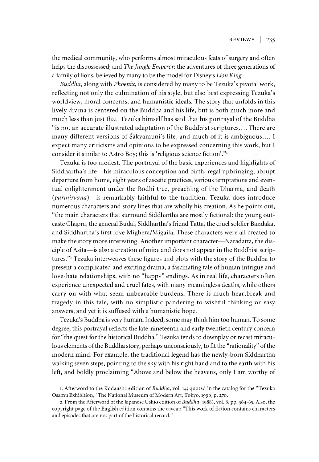the medical community, who performs almost miraculous feats of surgery and often helps the dispossessed; and *The Jungle Emperor:* the adventures of three generations of a family of lions, believed by many to be the model for Disney's *Lion King.*

*Buddha*, along with *Phoenix*, is considered by many to be Tezuka's pivotal work, reflecting not only the culmination of his style, but also best expressing Tezuka's worldview, moral concerns, and humanistic ideals. The story that unfolds in this lively drama is centered on the Buddha and his life, but is both much more and much less than just that. Tezuka himself has said that his portrayal of the Buddha "is not an accurate illustrated adaptation of the Buddhist scriptures.... There are many different versions of Sakyamuni's life, and much of it is ambiguous.... I expect many criticisms and opinions to be expressed concerning this work, but I consider it similar to Astro Boy; this is 'religious science fiction'." $\frac{1}{1}$ 

Tezuka is too modest. The portrayal of the basic experiences and highlights of Siddhartha's life—his miraculous conception and birth, regal upbringing, abrupt departure from home, eight years of ascetic practices, various temptations and eventual enlightenment under the Bodhi tree, preaching of the Dharma, and death *(parinirvana*)— is remarkably faithful to the tradition. Tezuka does introduce numerous characters and story lines that are wholly his creation. As he points out, "the main characters that surround Siddhartha are mostly fictional: the young outcaste Chapra, the general Budai, Siddhartha's friend Tatta, the cruel soldier Bandaka, and Siddhartha's first love Mighera/Migaila. These characters were all created to make the story more interesting. Another important character—Naradatta, the disciple of Asita— is also a creation of mine and does not appear in the Buddhist scriptures."<sup>2</sup> Tezuka interweaves these figures and plots with the story of the Buddha to present a complicated and exciting drama, a fascinating tale of human intrigue and love-hate relationships, with no "happy" endings. As in real life, characters often experience unexpected and cruel fates, with many meaningless deaths, while others carry on with what seem unbearable burdens. There is much heartbreak and tragedy in this tale, with no simplistic pandering to wishful thinking or easy answers, and yet it is suffused with a humanistic hope.

Tezuka's Buddha is very human. Indeed, some may think him too human. To some degree, this portrayal reflects the late-nineteenth and early twentieth century concern for "the quest for the historical Buddha." Tezuka tends to downplay or recast miraculous elements of the Buddha story, perhaps unconsciously, to fit the "rationality" of the modern mind. For example, the traditional legend has the newly-born Siddhartha walking seven steps, pointing to the sky with his right hand and to the earth with his left, and boldly proclaiming "Above and below the heavens, only I am worthy of

<sup>1.</sup> Afterword to the Kodansha edition of *Buddha*, vol. 14; quoted in the catalog for the "Tezuka Osamu Exhibition," The National Museum of Modern Art, Tokyo, 1990, p. 270.

<sup>2.</sup> From the Afterword of the Japanese Ushio edition of *Buddha* (1988), vol. 8, pp. 364-65. Also, the copyright page of the English edition contains the caveat: "This work of fiction contains characters and episodes that are not part of the historical record."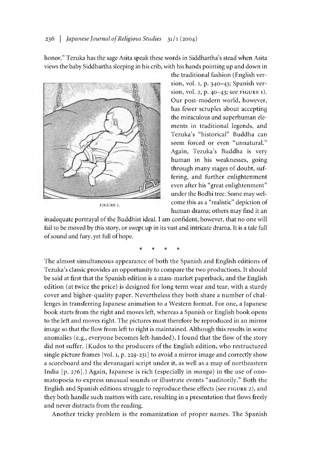honor." Tezuka has the sage Asita speak these words in Siddhartha's stead when Asita views the baby Siddhartha sleeping in his crib, with his hands pointing up and down in



**FIGURE 1.**

the traditional fashion (English version, vol. 1, p. 340-43; Spanish version, vol. 2, p.  $40-43$ ; see FIGURE 1). Our post-modern world, however, has fewer scruples about accepting the miraculous and superhuman elements in traditional legends, and Tezuka's "historical" Buddha can seem forced or even "unnatural." Again, Tezuka's Buddha is very human in his weaknesses, going through many stages of doubt, suffering, and further enlightenment even after his "great enlightenment" under the Bodhi tree. Some may welcome this as a "realistic" depiction of human drama; others may find it an

inadequate portrayal of the Buddhist ideal.I am confident, however, that no one will fail to be moved by this story, or swept up in its vast and intricate drama. It is a tale full of sound and fury, yet full of hope.

ネネ洚ネ

The almost simultaneous appearance of both the Spanish and English editions of Tezuka's classic provides an opportunity to compare the two productions. It should be said at first that the Spanish edition is a mass-market paperback, and the English edition (at twice the price) is designed for long term wear and tear, with a sturdy cover and nigher-quality paper. Nevertheless they both share a number of challenges in transferring Japanese animation to a Western format. For one, a Japanese book starts from the right and moves left, whereas a Spanish or English book opens to the left and moves right. The pictures must therefore be reproduced in an mirror image so that the flow from left to right is maintained. Although this results in some anomalies (e.g., everyone becomes left-handed), I found that the flow of the story did not suffer. (Kudos to the producers of the English edition, who restructured single picture frames [vol. 1, p. 229-231] to avoid a mirror image and correctly show a scoreboard and the devanagari script under it, as well as a map of northeastern India [p. 276].) Again, Japanese is rich (especially in *man^a)* in the use of onomatopoeia to express unusual sounds or illustrate events "auditorily." Both the English and Spanish editions struggle to reproduce these effects (see FIGURE 2), and they both handle such matters with care, resulting in a presentation that flows freely and never distracts from the reading.

Another tricky problem is the romanization of proper names. The Spanish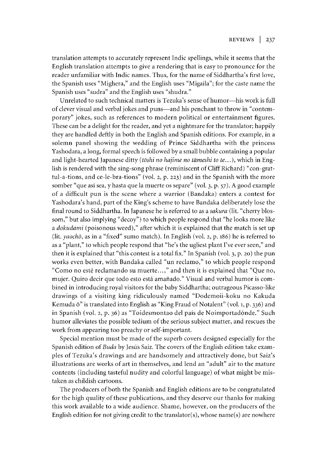translation attempts to accurately represent Indie spellings, while it seems that the English translation attempts to give a rendering that is easy to pronounce for the reader unfamiliar with Indie names. Thus, for the name of Siddhartha's first love, the Spanish uses "Mighera," and the English uses "Migaila"; for the caste name the Spanish uses "sudra" and the English uses "shudra."

Unrelated to such technical matters is Tezuka's sense of humor—his work is full of clever visual and verbal jokes and puns— and his penchant to throw in "contemporary" jokes, such as references to modern political or entertainment figures. These can be a delight for the reader, and yet a nightmare for the translator; happily they are handled deftly in both the English and Spanish editions. For example, in a solemn panel showing the wedding of Prince Siddhartha with the princess Yashodara, a long, formal speech is followed by a small bubble containing a popular and light-hearted Japanese ditty (tōshi no hajime no tāmeshi to te...), which in English is rendered with the sing-song phrase (reminiscent of Cliff Richard) "con-grattul-a-tions, and ce-le-bra-tions" (vol. 2, p. 223) and in the Spanish with the more somber "que así sea, y hasta que la muerte os separe" (vol. 3, p. 57). A good example of a difficult pun is the scene where a warrior (Bandaka) enters a contest for Yashodara's hand, part of the King's scheme to have Bandaka deliberately lose the final round to Siddhartha. In Japanese he is referred to as a *sakura* (lit. "cherry blossom," but also implying "decoy") to which people respond that "he looks more like a *dokudami* (poisonous weed)," after which it is explained that the match is set up (lit. *yaocho*, as in a "fixed" sumo match). In English (vol. 2, p. 186) he is referred to as a "plant," to which people respond that "he's the ugliest plant I've ever seen," and then it is explained that "this contest is a total fix." In Spanish (vol. 3, p. 20) the pun works even better, with Bandaka called "un reclamo," to which people respond "Como no esté reclamando su muerte...," and then it is explained that "Que no, mujer. Quiro decir que todo esto está amañado." Visual and verbal humor is combined in introducing royal visitors for the baby Siddhartha; outrageous Picasso-like drawings of a visiting king ridiculously named "Dodemoii-koku no Kakuda Kemuda  $\bar{\sigma}^{\nu}$  is translated into English as "King Fraud of Notalent" (vol. 1, p. 336) and in Spanish (vol. 2, p. 36) as "Toidesmontao del país de Noimportadónde." Such humor alleviates the possible tedium of the serious subject matter, and rescues the work from appearing too preachy or self-important.

Special mention must be made of the superb covers designed especially for the Spanish edition of *Buda* by Jesus Saiz. The covers of the English edition take examples of Tezuka's drawings and are handsomely and attractively done, but Saiz's illustrations are works of art in themselves, and lend an "adult" air to the mature contents (including tasteful nudity and colorful language) of what might be mistaken as childish cartoons.

The producers of both the Spanish and English editions are to be congratulated for the high quality of these publications, and they deserve our thanks for making this work available to a wide audience. Shame, however, on the producers of the English edition for not giving credit to the translator(s), whose name(s) are nowhere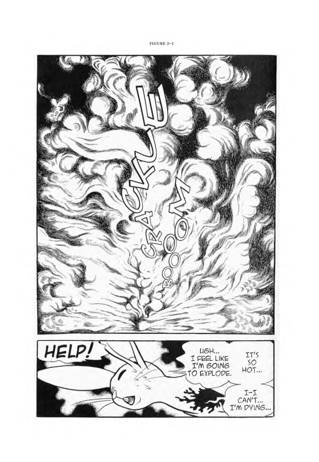

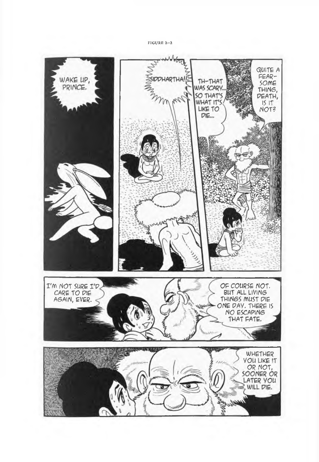